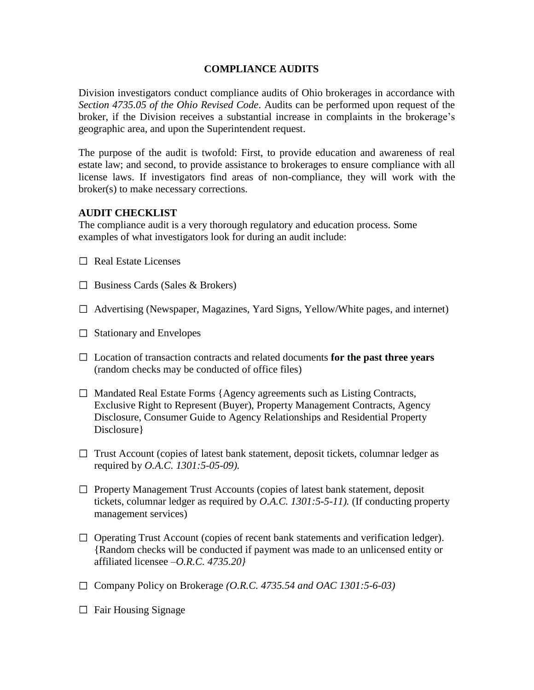## **COMPLIANCE AUDITS**

Division investigators conduct compliance audits of Ohio brokerages in accordance with *Section 4735.05 of the Ohio Revised Code*. Audits can be performed upon request of the broker, if the Division receives a substantial increase in complaints in the brokerage's geographic area, and upon the Superintendent request.

The purpose of the audit is twofold: First, to provide education and awareness of real estate law; and second, to provide assistance to brokerages to ensure compliance with all license laws. If investigators find areas of non-compliance, they will work with the broker(s) to make necessary corrections.

## **AUDIT CHECKLIST**

The compliance audit is a very thorough regulatory and education process. Some examples of what investigators look for during an audit include:

- $\Box$  Real Estate Licenses
- $\Box$  Business Cards (Sales & Brokers)
- $\Box$  Advertising (Newspaper, Magazines, Yard Signs, Yellow/White pages, and internet)
- $\Box$  Stationary and Envelopes
- Location of transaction contracts and related documents **for the past three years** (random checks may be conducted of office files)
- $\Box$  Mandated Real Estate Forms {Agency agreements such as Listing Contracts, Exclusive Right to Represent (Buyer), Property Management Contracts, Agency Disclosure, Consumer Guide to Agency Relationships and Residential Property Disclosure }
- $\Box$  Trust Account (copies of latest bank statement, deposit tickets, columnar ledger as required by *O.A.C. 1301:5-05-09).*
- $\Box$  Property Management Trust Accounts (copies of latest bank statement, deposit tickets, columnar ledger as required by *O.A.C. 1301:5-5-11).* (If conducting property management services)
- $\Box$  Operating Trust Account (copies of recent bank statements and verification ledger). {Random checks will be conducted if payment was made to an unlicensed entity or affiliated licensee –*O.R.C. 4735.20}*
- □ Company Policy on Brokerage *(O.R.C. 4735.54 and OAC 1301:5-6-03)*
- $\Box$  Fair Housing Signage